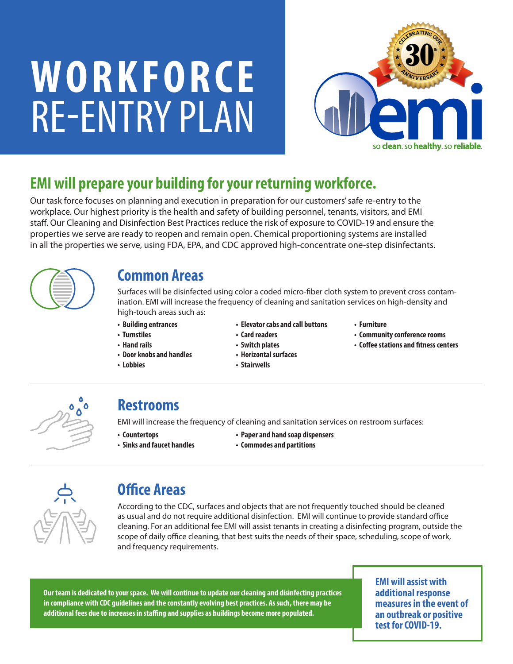# **WORKFORCE** RE-ENTRY PLAN



# **EMI will prepare your building for your returning workforce.**

Our task force focuses on planning and execution in preparation for our customers' safe re-entry to the workplace. Our highest priority is the health and safety of building personnel, tenants, visitors, and EMI staff. Our Cleaning and Disinfection Best Practices reduce the risk of exposure to COVID-19 and ensure the properties we serve are ready to reopen and remain open. Chemical proportioning systems are installed in all the properties we serve, using FDA, EPA, and CDC approved high-concentrate one-step disinfectants.



#### **Common Areas**

Surfaces will be disinfected using color a coded micro-fiber cloth system to prevent cross contamination. EMI will increase the frequency of cleaning and sanitation services on high-density and high-touch areas such as:

- **Building entrances**
- **Turnstiles**
- **Hand rails**
- **Door knobs and handles**
- **Lobbies**
- **Elevator cabs and call buttons • Card readers**
- **Furniture**
	- **Community conference rooms**
	- **Coffee stations and fitness centers**
- **Switch plates • Horizontal surfaces**
- **Stairwells**



#### **Restrooms**

EMI will increase the frequency of cleaning and sanitation services on restroom surfaces:

**• Countertops**

- **Paper and hand soap dispensers**
- **Sinks and faucet handles**
- **Commodes and partitions**



### **Office Areas**

According to the CDC, surfaces and objects that are not frequently touched should be cleaned as usual and do not require additional disinfection. EMI will continue to provide standard office cleaning. For an additional fee EMI will assist tenants in creating a disinfecting program, outside the scope of daily office cleaning, that best suits the needs of their space, scheduling, scope of work, and frequency requirements.

**Our team is dedicated to your space. We will continue to update our cleaning and disinfecting practices in compliance with CDC guidelines and the constantly evolving best practices. As such, there may be additional fees due to increases in staffing and supplies as buildings become more populated.**

**EMI will assist with additional response measures in the event of an outbreak or positive test for COVID-19.**